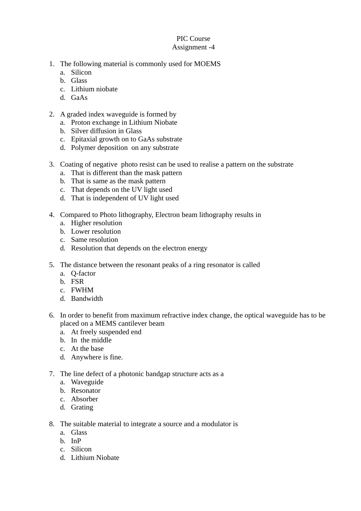## PIC Course Assignment -4

- 1. The following material is commonly used for MOEMS
	- a. Silicon
	- b. Glass
	- c. Lithium niobate
	- d. GaAs
- 2. A graded index waveguide is formed by
	- a. Proton exchange in Lithium Niobate
	- b. Silver diffusion in Glass
	- c. Epitaxial growth on to GaAs substrate
	- d. Polymer deposition on any substrate
- 3. Coating of negative photo resist can be used to realise a pattern on the substrate
	- a. That is different than the mask pattern
	- b. That is same as the mask pattern
	- c. That depends on the UV light used
	- d. That is independent of UV light used
- 4. Compared to Photo lithography, Electron beam lithography results in
	- a. Higher resolution
	- b. Lower resolution
	- c. Same resolution
	- d. Resolution that depends on the electron energy
- 5. The distance between the resonant peaks of a ring resonator is called
	- a. Q-factor
	- b. FSR
	- c. FWHM
	- d. Bandwidth
- 6. In order to benefit from maximum refractive index change, the optical waveguide has to be placed on a MEMS cantilever beam
	- a. At freely suspended end
	- b. In the middle
	- c. At the base
	- d. Anywhere is fine.
- 7. The line defect of a photonic bandgap structure acts as a
	- a. Waveguide
	- b. Resonator
	- c. Absorber
	- d. Grating
- 8. The suitable material to integrate a source and a modulator is
	- a. Glass
	- b. InP
	- c. Silicon
	- d. Lithium Niobate